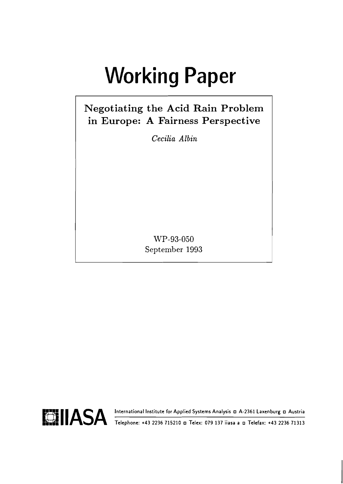# **Working Paper**

## Negotiating the Acid Rain Problem in Europe: A Fairness Perspective

Cecilia Albin

WP-93-050 September 1993

Telephone: +43 2236 715210 a Telex: 079 137 iiasa a a Telefax: +43 2236 71313

International Institute for Applied Systems Analysis a A-2361 Laxenburg a Austria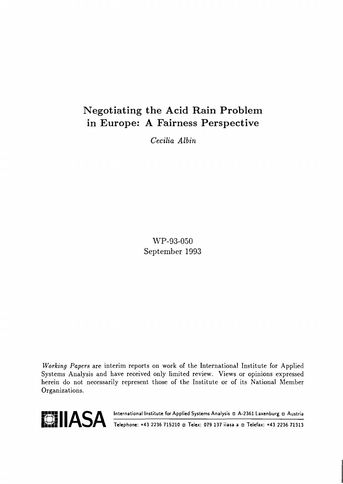## Negotiating the Acid Rain Problem in Europe: A Fairness Perspective

*Cecilia Albin* 

WP-93-050 September 1993

**Working** Papers are interim reports on work of the International Institute for Applied Systems Analysis and have received only limited review. Views or opinions expressed herein do not necessarily represent those of the Institute or of its National Member Organizations.



**referent IIASA** International Institute for Applied Systems Analysis **n** A-2361 Laxenburg **n** Austria **14.2236 71313**<br>Telephone: +43 2236 715210 **n** Telex: 079 137 iiasa a n Telefax: +43 2236 71313 **THE II ASA** International Institute for Applied Systems Analysis n A-2361 Laxenburg n Austria<br>Telephone: +43 2236 715210 n Telex: 079 137 iiasa a n Telefax: +43 2236 71313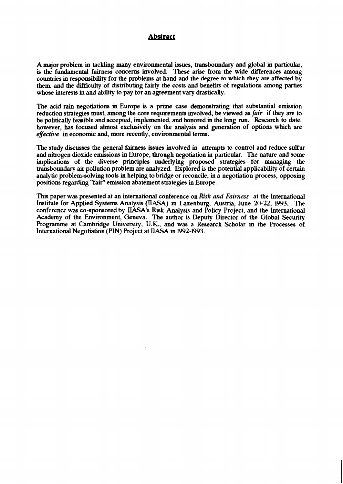#### **Abstract**

A major problem in tackling many environmental issues, transboundary and global in particular, is the fundamental fairness concerns involved. These arise from the wide differences among countries in responsibility for the problems at hand and the degree to which they are affected by them, and the difficulty of distributing fairly the costs and benefits of regulations among parties whose interests in and ability to pay for an agreement vary drastically.

The acid rain negotiations in Europe is a prime case demonstrating that substantial emission reduction strategies must, among the core requirements involved, be viewed as *fair* if they are to be politically feasible and accepted, implemented, and honored in the long run. Research to date, however, bas focused almost exclusively on the analysis and generation of options which are **effective** in economic and, more recently, environmental terms.

The study discusses the general fairness issues involved in attempts to control and reduce sulfur and nitrogen dioxide emissions in Europe, through negotiation in particular. The nature and some implications of the diverse principles underlying proposed strategies for managing the transboundary air pollution problem are analyzed. Explored is the potential applicability of certain analytic problem-solving tools in helping to bridge or reconcile, in a negotiation process, opposing positions regarding "fair" emission abatement strategies in Europe.

This paper was presented at an international conference on **Risk** *arid Faintas* at the International Institute for Applied Systems Analysis (IIASA) in Laxenburg, Austria, June 20-22, **1993.** The confcrcncc was co-sponsored by IIASA's **Risk** Analysis and Policy Project, and the International Academy of the Environment, Geneva. The author is Deputy Director of the Global Security Programme at Cambridge University, U.K., and was a Research Scholar in the **Processes** of International Negotiation (PIN) Project at IIASA in 1992-1993.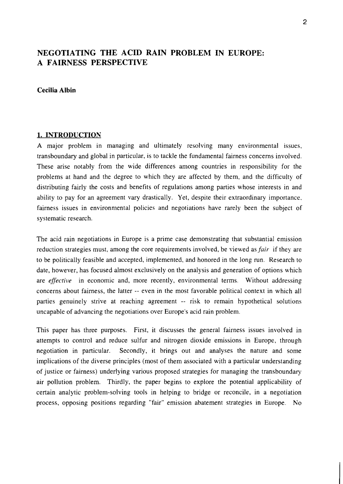### **NEGOTIATING THE ACID RAIN PROBLEM IN EUROPE: A FAIRNESS PERSPECTIVE**

#### **Cecilia Albin**

#### **1. INTRODUCTION**

**A** major problem in managing and ultimately resolving many environmental issues, transboundary and global in particular, is to tackle the fundamental fairness concerns involved. These arise notably from the wide differences among countries in responsibility for the problems at hand and the degree to which they are affected by them, and the difficulty of distributing fairly the costs and benefits of regulations among parties whose interests in and ability to pay for an agreement vary drastically. Yet, despite their extraordinary importance, fairness issues in environmental policies and negotiations have rarely been the subject of systematic research.

The acid rain negotiations in Europe is a prime case demonstrating that substantial emission reduction strategies must, among the core requirements involved, be viewed as *fair* if they are to be politically feasible and accepted, implemented, and honored in the long run. Research to date, however, has focused almost exclusively on the analysis and generation of options which are **effective** in economic and, more recently, environmental terms. Without addressing concerns about fairness, the latter -- even in the most favorable political context in which all parties genuinely strive at reaching agreement -- risk to remain hypothetical solutions uncapable of advancing the negotiations over Europe's acid rain problem.

This paper has three purposes. First, it discusses the general fairness issues involved in attempts to control and reduce sulfur and nitrogen dioxide emissions in Europe, through negotiation in particular. Secondly, it brings out and analyses the nature and some implications of the diverse principles (most of them associated with a particular understanding of justice or fairness) underlying various proposed strategies for managing the transboundary air pollution problem. Thirdly, the paper begins to explore the potential applicability of certain analytic problem-solving tools in helping to bridge or reconcile, in a negotiation process, opposing positions regarding "fair" emission abatement strategies in Europe. No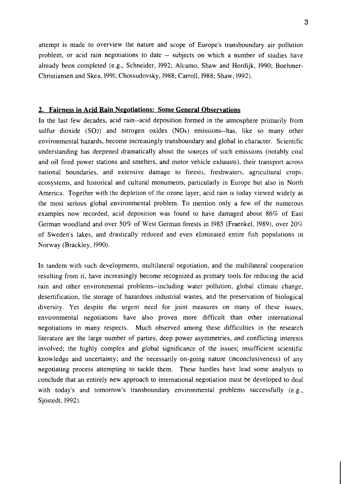attempt is made to overview the nature and scope of Europe's transboundary air pollution problem, or acid rain negotiations to date -- subjects on which a number of studies have already been completed (e.g., Schneider, 1992; Alcamo, Shaw and Hordijk, 1990; Boehmer-Christiansen and Skea, 1991; Chossudovsky, 1988; Carroll, 1988; Shaw, 1992).

#### **2. Fairness in Acid Rain Negotiations: Some General Observations**

In the last few decades, acid rain--acid deposition formed in the atmosphere primarily from sulfur dioxide  $(SO2)$  and nitrogen oxides  $(NOx)$  emissions--has, like so many other environmental hazards, become increasingly transboundary and global in character. Scientific understanding has deepened dramatically about the sources of such emissions (notably coal and oil fired power stations and smelters, and motor vehicle exhausts), their transport across national boundaries, and extensive damage to forests, freshwaters, agricultural crops, ecosystems, and historical and cultural monuments, particularly in Europe but also in North America. Together with the depletion of the ozone layer, acid rain is today viewed widely as the most serious global environmental problem. To mention only a few of the numerous examples now recorded, acid deposition was found to have damaged about 86% of East German woodland and over 50% of West German forests in 1985 (Fraenkel, 1989), over 20% of Sweden's lakes, and drastically reduced and even eliminated entire fish populations in Norway (Brackley, 1990).

In tandem with such developments, multilateral negotiation, and the multilateral cooperation resulting from it, have increasingly become recognized as primary tools for reducing the acid rain and other environmental problems--including water pollution, global climate change, desertification, the storage of hazardous industrial wastes, and the preservation of biological diversity. Yet despite the urgent need for joint measures on many of these issues, environmental negotiations have also proven more difficult than other international negotiations in many respects. Much observed among these difficulties in the research literature are the large number of parties, deep power asymmetries, and conflicting interests involved; the highly complex and global significance of the issues; insufficient scientific knowledge and uncertainty; and the necessarily on-going nature (inconclusiveness) of any negotiating process attempting to tackle them. These hurdles have lead some analysts to conclude that an entirely new approach to international negotiation must be developed to deal with today's and tomorrow's transboundary environmental problems successfully (e.g., Sjöstedt, 1992).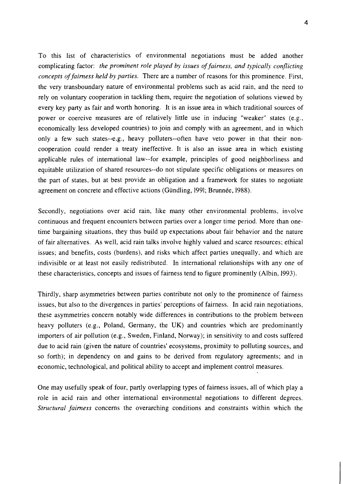To this list of characteristics of environmental negotiations must be added another complicating factor: *the prominent role played by issues of fairness, and typically conflicting concepts of fairness held by parties.* There are a number of reasons for this prominence. First, the very transboundary nature of environmental problems such as acid rain, and the need to rely on voluntary cooperation in tackling them, require the negotiation of solutions viewed by every key party as fair and worth honoring. It is an issue area in which traditional sources of power or coercive measures are of relatively little use in inducing "weaker" states (e.g., economically less developed countries) to join and comply with an agreement, and in which only a few such states--e.g., heavy polluters--often have veto power in that their noncooperation could render a treaty ineffective. It is also an issue area in which existing applicable rules of international law--for example, principles of good neighborliness and equitable utilization of shared resources--do not stipulate specific obligations or measures on the part of states, but at best provide an obligation and a framework for states to negotiate agreement on concrete and effective actions (Gündling, 1991; Brunnée, 1988).

Secondly, negotiations over acid rain, like many other environmental problems, involve continuous and frequent encounters between parties over a longer time period. More than onetime bargaining situations, they thus build up expectations about fair behavior and the nature of fair alternatives. As well, acid rain talks involve highly valued and scarce resources; ethical issues; and benefits, costs (burdens), and risks which affect parties unequally, and which are indivisible or at least not easily redistributed. In international relationships with any one of these characteristics, concepts and issues of fairness tend to figure prominently (Albin, 1993).

Thirdly, sharp asymmetries between parties contribute not only to the prominence of fairness issues, but also to the divergences in parties' perceptions of fairness. In acid rain negotiations, these asymmetries concern notably wide differences in contributions to the problem between heavy polluters (e.g., Poland, Germany, the UK) and countries which are predominantly importers of air pollution (e.g., Sweden, Finland, Norway); in sensitivity to and costs suffered due to acid rain (given the nature of countries' ecosystems, proximity to polluting sources, and so forth); in dependency on and gains to be derived from regulatory agreements; and in economic, technological, and political ability to accept and implement control measures.

One may usefully speak of four, partly overlapping types of fairness issues, all of which play a role in acid rain and other international environmental negotiations to different degrees. Structural fairness concerns the overarching conditions and constraints within which the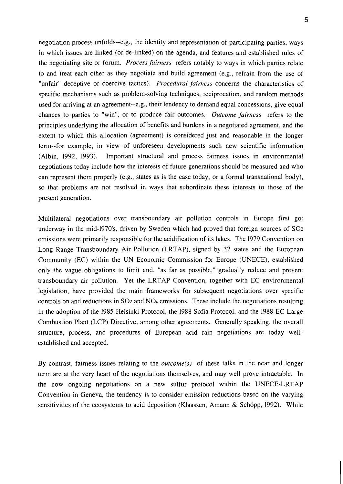negotiation process unfolds--e.g., the identity and representation of participating parties, ways in which issues are linked (or de-linked) on the agenda, and features and established rules of the negotiating site or forum. *Process fairness* refers notably to ways in which parties relate to and treat each other as they negotiate and build agreement (e.g., refrain from the use of "unfair" deceptive or coercive tactics). *Procedural fairness* concerns the characteristics of specific mechanisms such as problem-solving techniques, reciprocation, and random methods used for arriving at an agreement--e.g., their tendency to demand equal concessions, give equal chances to parties to "win", or to produce fair outcomes. *Outcome fairness* refers to the principles underlying the allocation of benefits and burdens in a negotiated agreement, and the extent to which this allocation (agreement) is considered just and reasonable in the longer term--for example, in view of unforeseen developments such new scientific information (Albin, 1992, 1993). Important structural and process fairness issues in environmental negotiations today include how the interests of future generations should be measured and who can represent them properly (e.g., states as is the case today, or a formal transnational body), so that problems are not resolved in ways that subordinate these interests to those of the present generation.

Multilateral negotiations over transboundary air pollution controls in Europe first got underway in the mid-1970's, driven by Sweden which had proved that foreign sources of  $SO<sub>2</sub>$ emissions were primarily responsible for the acidification of its lakes. The 1979 Convention on Long Range Transboundary Air Pollution (LRTAP), signed by 32 states and the European Community (EC) within the UN Economic Commission for Europe (UNECE), established only the vague obligations to limit and, "as far as possible," gradually reduce and prevent transboundary air pollution. Yet the LRTAP Convention, together with EC environmental legislation, have provided the main frameworks for subsequent negotiations over specific controls on and reductions in  $SO<sub>2</sub>$  and  $NO<sub>x</sub>$  emissions. These include the negotiations resulting in the adoption of the 1985 Helsinki Protocol, the 1988 Sofia Protocol, and the 1988 EC Large Combustion Plant (LCP) Directive, among other agreements. Generally speaking, the overall structure, process, and procedures of European acid rain negotiations are today wellestablished and accepted.

By contrast, fairness issues relating to the *outcome(s)* of these talks in the near and longer term are at the very heart of the negotiations themselves, and may well prove intractable. In the now ongoing negotiations on a new sulfur protocol within the UNECE-LRTAP Convention in Geneva, the tendency is to consider emission reductions based on the varying sensitivities of the ecosystems to acid deposition (Klaassen, Amann & Schopp, 1992). While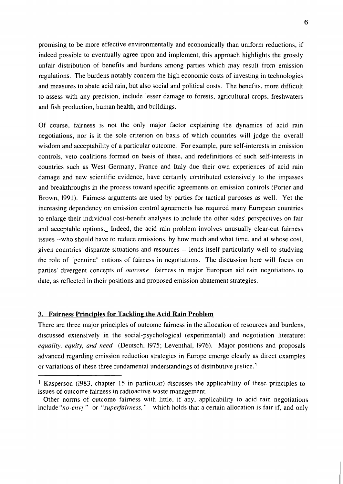promising to be more effective environmentally and economically than uniform reductions, if indeed possible to eventually agree upon and implement, this approach highlights the grossly unfair distribution of benefits and burdens among parties which may result from emission regulations. The burdens notably concern the high economic costs of investing in technologies and measures to abate acid rain, but also social and political costs. The benefits, more difficult to assess with any precision, include lesser damage to forests, agricultural crops, freshwaters and fish production, human health, and buildings.

Of course, fairness is not the only major factor explaining the dynamics of acid rain negotiations, nor is it the sole criterion on basis of which countries will judge the overall wisdom and acceptability of a particular outcome. For example, pure self-interests in emission controls, veto coalitions formed on basis of these, and redefinitions of such self-interests in countries such as West Germany, France and Italy due their own experiences of acid rain damage and new scientific evidence, have certainly contributed extensively to the impasses and breakthroughs in the process toward specific agreements on emission controls (Porter and Brown, 1991). Fairness arguments are used by parties for tactical purposes as well. Yet the increasing dependency on emission control agreements has required many European countries to enlarge their individual cost-benefit analyses to include the other sides' perspectives on fair and acceptable options. Indeed, the acid rain problem involves unusually clear-cut fairness issues --who should have to reduce emissions, by how much and what time, and at whose cost, given countries' disparate situations and resources -- lends itself particularly well to studying the role of "genuine" notions of fairness in negotiations. The discussion here will focus on parties' divergent concepts of *outcome* fairness in major European aid rain negotiations to date, as reflected in their positions and proposed emission abatement strategies.

#### **3. Fairness Principles for Tackling the Acid Rain Problem**

There are three major principles of outcome fairness in the allocation of resources and burdens, discussed extensively in the social-psychological (experimental) and negotiation literature: equality, equity, and need (Deutsch, 1975; Leventhal, 1976). Major positions and proposals advanced regarding emission reduction strategies in Europe emerge clearly as direct examples or variations of these three fundamental understandings of distributive justice.<sup>1</sup>

<sup>1</sup> Kasperson (1983, chapter **15** in particular) discusses the applicability of these principles to issues of outcome fairness in radioactive waste management.

Other norms of outcome fairness with little, if any, applicability to acid rain negotiations include "no-envy" or "superfairness," which holds that a certain allocation is fair if, and only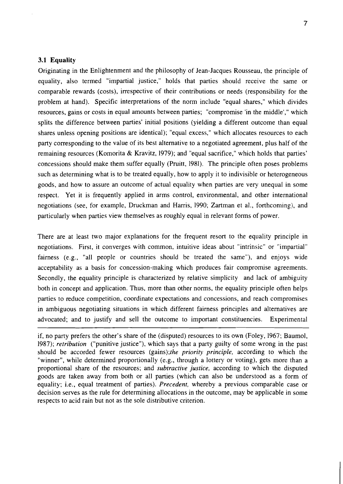#### **3.1 Equality**

Originating in the Enlightenment and the philosophy of Jean-Jacques Rousseau, the principle of equality, also termed "impartial justice," holds that parties should receive the same or comparable rewards (costs), irrespective of their contributions or needs (responsibility for the problem at hand). Specific interpretations of the norm include "equal shares," which divides resources, gains or costs in equal amounts between parties; "compromise 'in the middle'," which splits the difference between parties' initial positions (yielding a different outcome than equal shares unless opening positions are identical); "equal excess," which allocates resources to each party corresponding to the value of its best alternative to a negotiated agreement, plus half of the remaining resources (Komorita & Kravitz, 1979); and "equal sacrifice," which holds that parties' concessions should make them suffer equally (Pruitt, 1981). The principle often poses problems such as determining what is to be treated equally, how to apply it to indivisible or heterogeneous goods, and how to assure an outcome of actual equality when parties are very unequal in some respect. Yet it is frequently applied in arms control, environmental, and other international negotiations (see, for example, Druckman and Harris, 1990; Zartman et al., forthcoming), and particularly when parties view themselves as roughly equal in relevant forms of power.

There are at least two major explanations for the frequent resort to the equality principle in negotiations. First, it converges with common, intuitive ideas about "intrinsic" or "impartial" fairness (e.g., "all people or countries should be treated the same"), and enjoys wide acceptability as a basis for concession-making which produces fair compromise agreements. Secondly, the equality principle is characterized by relative simplicity and lack of ambiguity both in concept and application. Thus, more than other norms, the equality principle often helps parties to reduce competition, coordinate expectations and concessions, and reach compromises in ambiguous negotiating situations in which different fairness principles and alternatives are advocated; and to justify and sell the outcome to important constituencies. Experimental

if, no party prefers the other's share of the (disputed) resources to its own (Foley, 1967; Baumol, 1987); retribution ("punitive justice"), which says that a party guilty of some wrong in the past should be accorded fewer resources (gains);the priority principle, according to which the "winner", while determined proportionally (e.g., through a lottery or voting), gets more than a proportional share of the resources; and subtractive justice, according to which the disputed goods are taken away from both or all parties (which can also be understood as a form of equality; i.e., equal treatment of parties). Precedent, whereby a previous comparable case or decision serves as the rule for determining allocations in the outcome, may be applicable in some respects to acid rain but not as the sole distributive criterion.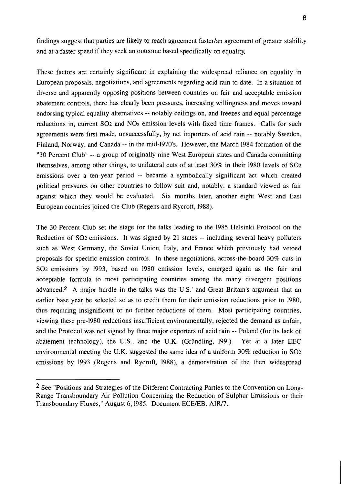findings suggest that parties are likely to reach agreement fasterlan agreement of greater stability and at a faster speed if they seek an outcome based specifically on equality.

These factors are certainly significant in explaining the widespread reliance on equality in European proposals, negotiations, and agreements regarding acid rain to date. In a situation of diverse and apparently opposing positions between countries on fair and acceptable emission abatement controls, there has clearly been pressures, increasing willingness and moves toward endorsing typical equality alternatives -- notably ceilings on, and freezes and equal percentage reductions in, current SO<sub>2</sub> and NO<sub>x</sub> emission levels with fixed time frames. Calls for such agreements were first made, unsuccessfully, by net importers of acid rain -- notably Sweden, Finland, Norway, and Canada -- in the mid-1970's. However, the March 1984 formation of the "30 Percent Club" -- a group of originally nine West European states and Canada committing themselves, among other things, to unilateral cuts of at least 30% in their 1980 levels of SO2 emissions over a ten-year period -- became a symbolically significant act which created political pressures on other countries to follow suit and, notably, a standard viewed as fair against which they would be evaluated. Six months later, another eight West and East European countries joined the Club (Regens and Rycroft, 1988).

The 30 Percent Club set the stage for the talks leading to the 1985 Helsinki Protocol on the Reduction of SO2 emissions. It was signed by 21 states -- including several heavy polluters such as West Germany, the Soviet Union, Italy, and France which previously had vetoed proposals for specific emission controls. In these negotiations, across-the-board 30% cuts in SO2 emissions by 1993, based on 1980 emission levels, emerged again as the fair and acceptable formula to most participating countries among the many divergent positions advanced.<sup>2</sup> A major hurdle in the talks was the U.S.' and Great Britain's argument that an earlier base year be selected so as to credit them for their emission reductions prior to 1980, thus requiring insignificant or no further reductions of them. Most participating countries, viewing these pre-1980 reductions insufficient environmentally, rejected the demand as unfair, and the Protocol was not signed by three major exporters of acid rain -- Poland (for its lack of abatement technology), the U.S., and the U.K. (Griindling, 1991). Yet at a later EEC environmental meeting the U.K. suggested the same idea of a uniform 30% reduction in SO2 emissions by 1993 (Regens and Rycroft, 1988), a demonstration of the then widespread

 $2$  See "Positions and Strategies of the Different Contracting Parties to the Convention on Long-Range Transboundary Air Pollution Concerning the Reduction of Sulphur Emissions or their Transboundary Fluxes," August 6, 1985. Document ECE/EB. AIR/7.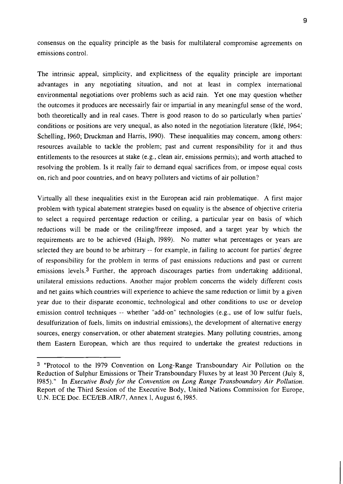consensus on the equality principle as the basis for multilateral compromise agreements on emissions control.

The intrinsic appeal, simplicity, and explicitness of the equality principle are important advantages in any negotiating situation, and not at least in complex international environmental negotiations over problems such as acid rain. Yet one may question whether the outcomes it produces are necessairly fair or impartial in any meaningful sense of the word, both theoretically and in real cases. There is good reason to do so particularly when parties' conditions or positions are very unequal, as also noted in the negotiation literature (Iklé, 1964; Schelling, 1960; Druckman and Harris, 1990). These inequalities may concern, among others: resources available to tackle the problem; past and current responsibility for it and thus entitlements to the resources at stake (e.g., clean air, emissions permits); and worth attached to resolving the problem. Is it really fair to demand equal sacrifices from, or impose equal costs on, rich and poor countries, and on heavy polluters and victims of air pollution?

Virtually all these inequalities exist in the European acid rain problematique. A first major problem with typical abatement strategies based on equality is the absence of objective criteria to select a required percentage reduction or ceiling, a particular year on basis of which reductions will be made or the ceiling/freeze imposed, and a target year by which the requirements are to be achieved (Haigh, 1989). No matter what percentages or years are selected they are bound to be arbitrary -- for example, in failing to account for parties' degree of responsibility for the problem in terms of past emissions reductions and past or current emissions levels.3 Further, the approach discourages parties from undertaking additional, unilateral emissions reductions. Another major problem concerns the widely different costs and net gains which countries will experience to achieve the same reduction or limit by a given year due to their disparate economic, technological and other conditions to use or develop emission control techniques -- whether "add-on" technologies (e.g., use of low sulfur fuels, desulfurization of fuels, limits on industrial emissions), the development of alternative energy sources, energy conservation, or other abatement strategies. Many polluting countries, among them Eastern European, which are thus required to undertake the greatest reductions in

<sup>3 &</sup>quot;Protocol to the 1979 Convention on Long-Range Transboundary Air Pollution on the Reduction of Sulphur Emissions or Their Transboundary Fluxes by at least 30 Percent (July 8, 1985)." In *Executive Body for the Convention on Long Range Transboundary Air Pollution.*  Report of the Third Session of the Executive Body, United Nations Commission for Europe, U.N. ECE Doc. ECE/EB.AIR/7, Annex l, August 6, 1985.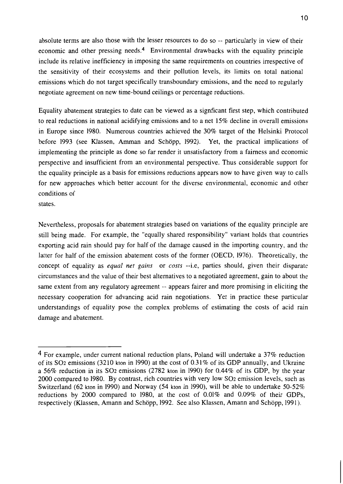absolute terms are also those with the lesser resources to do so -- particularly in view of their economic and other pressing needs.<sup>4</sup> Environmental drawbacks with the equality principle include its relative inefficiency in imposing the same requirements on countries irrespective of the sensitivity of their ecosystems and their pollution levels, its limits on total national emissions which do not target specifically transboundary emissions, and the need to regularly negotiate agreement on new time-bound ceilings or percentage reductions.

Equality abatement strategies to date can be viewed as a signficant first step, which contributed to real reductions in national acidifying emissions and to a net 15% decline in overall emissions in Europe since 1980. Numerous countries achieved the 30% target of the Helsinki Protocol before 1993 (see Klassen, Amman and Schöpp, 1992). Yet, the practical implications of implementing the principle as done so far render it unsatisfactory from a fairness and economic perspective and insufficient from an environmental perspective. Thus considerable support for the equality principle as a basis for emissions reductions appears now to have given way to calls for new approaches which better account for the diverse environmental, economic and other conditions of

states.

Nevertheless, proposals for abatement strategies based on variations of the equality principle are still being made. For example, the "equally shared responsibility" variant holds that countries exporting acid rain should pay for half of the damage caused in the importing country, and the latter for half of the emission abatement costs of the former (OECD, 1976). Theoretically, the concept of equality as *equal net gains* or *costs* --i.e, parties should, given their disparate circumstances and the value of their best alternatives to a negotiated agreement, gain to about the same extent from any regulatory agreement -- appears fairer and more promising in eliciting the necessary cooperation for advancing acid rain negotiations. Yet in practice these particular understandings of equality pose the complex problems of estimating the costs of acid rain damage and abatement.

<sup>4</sup> For example, under current national reduction plans, Poland will undertake a 37% reduction of its SO<sub>2</sub> emissions (3210 kton in 1990) at the cost of 0.31% of its GDP annually, and Ukraine a 56% reduction in its SO<sub>2</sub> emissions (2782 kton in 1990) for 0.44% of its GDP, by the year 2000 compared to 1980. By contrast, rich countries with very low SO<sub>2</sub> emission levels, such as Switzerland (62 kton in 1990) and Norway (54 kton in 1990), will be able to undertake 50-52% reductions by 2000 compared to 1980, at the cost of 0.01% and 0.09% of their GDPs, respectively (Klassen, Amann and Schöpp, 1992. See also Klassen, Amann and Schöpp, 1991).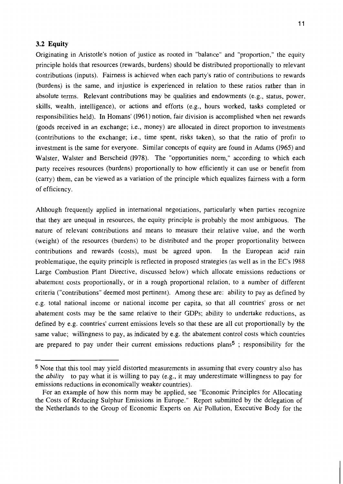#### 3.2 Equity

Originating in Aristotle's notion of justice as rooted in "balance" and "proportion," the equity principle holds that resources (rewards, burdens) should be distributed proportionally to relevant contributions (inputs). Fairness is achieved when each party's ratio of contributions to rewards (burdens) is the same, and injustice is experienced in relation to these ratios rather than in absolute terms. Relevant contributions may be qualities and endowments (e.g., status, power, skills, wealth, intelligence), or actions and efforts (e.g., hours worked, tasks completed or responsibilities held). In Homans' (1961) notion, fair division is accomplished when net rewards (goods received in an exchange; i.e., money) are allocated in direct proportion to investments (contributions to the exchange; i.e., time spent, risks taken), so that the ratio of profit to investment is the same for everyone. Similar concepts of equity are found in Adams (1965) and Walster, Walster and Berscheid (1978). The "opportunities norm," according to which each party receives resources (burdens) proportionally to how efficiently it can use or benefit from (carry) them, can be viewed as a variation of the principle which equalizes fairness with a form of efficiency.

Although frequently applied in international negotiations, particularly when parties recognize that they are unequal in resources, the equity principle is probably the most ambiguous. The nature of relevant contributions and means to measure their relative value, and the worth (weight) of the resources (burdens) to be distributed and the proper proportionality between contributions and rewards (costs), must be agreed upon. In the European acid rain problematique, the equity principle is reflected in proposed strategies (as well as in the EC's 1988) Large Combustion Plant Directive, discussed below) which allocate emissions reductions or abatement costs proportionally, or in a rough proportional relation, to a number of different criteria ("contributions" deemed most pertinent). Among these are: ability to pay as defined by e.g. total national income or national income per capita, so that all countries' gross or net abatement costs may be the same relative to their GDPs; ability to undertake reductions, as defined by e.g. countries' current emissions levels so that these are all cut proportionally by the same value; willingness to pay, as indicated by e.g. the abatement control costs which countries are prepared to pay under their current emissions reductions plans<sup>5</sup>; responsibility for the

<sup>&</sup>lt;sup>5</sup> Note that this tool may yield distorted measurements in assuming that every country also has the *ability* to pay what it is willing to pay (e.g., it may underestimate willingness to pay for emissions reductions in economically weaker countries).

For an example of how this norm may be applied, see "Economic Principles for Allocating the Costs of Reducing Sulphur Emissions in Europe." Report submitted by the delegation of the Netherlands to the Group of Economic Experts on Air Pollution, Executive Body for the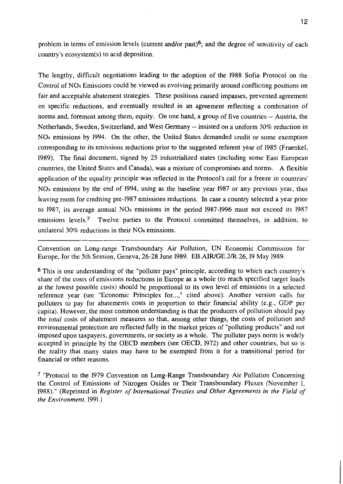problem in terms of emission levels (current and/or past)<sup>6</sup>; and the degree of sensitivity of each country's ecosystem(s) to acid deposition.

The lengthy, difficult negotiations leading to the adoption of the 1988 Sofia Protocol on the Control of NO<sub>x</sub> Emissions could be viewed as evolving primarily around conflicting positions on fair and acceptable abatement strategies. These positions caused impasses, prevented agreement on specific reductions, and eventually resulted in an agreement reflecting a combination of norms and, foremost among them, equity. On one hand, a group of five countries -- Austria, the Netherlands, Sweden, Switzerland, and West Germany -- insisted on a uniform 30% reduction in NO<sub>x</sub> emissions by 1994. On the other, the United States demanded credit or some exemption corresponding to its emissions reductions prior to the suggested referent year of 1985 (Fraenkel, 1989). The final document, signed by 25 industrialized states (including some East European countries, the United States and Canada), was a mixture of compromises and norms. A flexible application of the equality principle was reflected in the Protocol's call for a freeze in countries'  $NOx$  emissions by the end of 1994, using as the baseline year 1987 or any previous year, thus leaving room for crediting pre-1987 emissions reductions. In case a country selected a year prior to 1987, its average annual  $NOx$  emissions in the period 1987-1996 must not exceed its 1987 emissions levels.<sup>7</sup> Twelve parties to the Protocol committed themselves, in addition, to unilateral  $30\%$  reductions in their NO<sub>x</sub> emissions.

Convention on Long-range Transboundary Air Pollution, UN Economic Commission for Europe, for the 5th Session, Geneva, 26-28 June 1989. EB.AIR/GE.2/R.26, 19 May 1989.

<sup>6</sup> This is one understanding of the "polluter pays" principle, according to which each country's share of the costs of emissions reductions in Europe as a whole (to reach specified target loads at the lowest possible costs) should be proportional to its own level of emissions in a selected reference year (see "Economic Principles for...," cited above). Another version calls for polluters to pay for abatements costs in proportion to their financial ability (e.g., GDP per capita). However, the most common understanding is that the producers of pollution should pay the *total* costs of abatement measures so that, among other things, the costs of pollution and environmental protection are reflected fully in the market prices of "polluting products" and not imposed upon taxpayers, governments, or society as a whole. The polluter pays norm is widely accepted in principle by the OECD members (see OECD, 1972) and other countries, but so is the reality that many states may have to be exempted from it for a transitional period for financial or other reasons.

<sup>7</sup> "Protocol to the 1979 Convention on Long-Range Transboundary Air Pollution Concerning the Control of Emissions of Nitrogen Oxides or Their Transboundary Fluxes (November 1, 1988)." (Reprinted in Register of International Treaties and Other Agreements in the Field of the Environment, 1991.)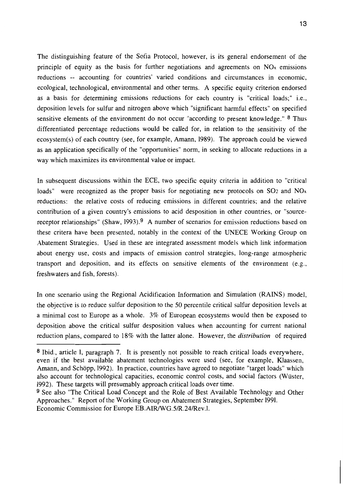The distinguishing feature of the Sofia Protocol, however, is its general endorsement of the principle of equity as the basis for further negotiations and agreements on  $NO<sub>x</sub>$  emissions reductions -- accounting for countries' varied conditions and circumstances in economic, ecological, technological, environmental and other terms. A specific equity criterion endorsed as a basis for determining emissions reductions for each country is "critical loads;" i.e., deposition levels for sulfur and nitrogen above which "significant harmful effects" on specified sensitive elements of the environment do not occur "according to present knowledge." <sup>8</sup> Thus differentiated percentage reductions would be called for, in relation to the sensitivity of the ecosystem(s) of each country (see, for example, Amann, 1989). The approach could be viewed as an application specifically of the "opportunities" norm, in seeking to allocate reductions in a way which maximizes its environmental value or impact.

In subsequent discussions within the ECE, two specific equity criteria in addition to "critical" loads" were recognized as the proper basis for negotiating new protocols on  $SO_2$  and  $NO<sub>x</sub>$ reductions: the relative costs of reducing emissions in different countries; and the relative contribution of a given country's emissions to acid desposition in other countries, or "sourcereceptor relationships" (Shaw, 1993).<sup>9</sup> A number of scenarios for emission reductions based on these critera have been presented, notably in the context of the UNECE Working Group on Abatement Strategies. Used in these are integrated assessment models which link information about energy use, costs and impacts of emission control strategies, long-range atmospheric transport and deposition, and its effects on sensitive elements of the environment (e.g., freshwaters and fish, forests).

In one scenario using the Regional Acidification Information and Simulation (RAINS) model, the objective is to reduce sulfur deposition to the 50 percentile critical sulfur deposition levels at a minimal cost to Europe as a whole. 3% of European ecosystems would then be exposed to deposition above the critical sulfur desposition values when accounting for current national reduction plans, compared to 18% with the latter alone. However, the *distribution* of required

<sup>8</sup> Ibid., article I, paragraph 7. It is presently not possible to reach critical loads everywhere. even if the best available abatement technologies were used (see, for example, Klaassen, Amann, and Schöpp, 1992). In practice, countries have agreed to negotiate "target loads" which also account for technological capacities, economic control costs, and social factors (Wüster, 1992). These targets will presumably approach critical loads over time.

<sup>&</sup>lt;sup>9</sup> See also "The Critical Load Concept and the Role of Best Available Technology and Other Approaches." Report of the Working Group on Abatement Strategies, September 1991. Economic Commission for Europe EB.AIR/WG.5/R.24/Rev.l.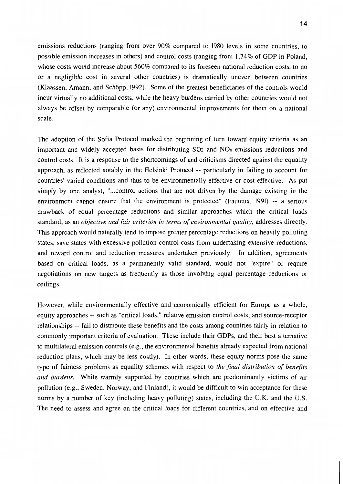$14$ 

emissions reductions (ranging from over 90% compared to 1980 levels in some countries, to possible emission increases in others) and control costs (ranging from 1.74% of GDP in Poland, whose costs would increase about 560% compared to its foreseen national reduction costs, to no or a negligible cost in several other countries) is dramatically uneven between countries (Klaassen, Amann, and Schöpp, 1992). Some of the greatest beneficiaries of the controls would incur virtually no additional costs, while the heavy burdens carried by other countries would not always be offset by comparable (or any) environmental improvements for them on a national scale.

The adoption of the Sofia Protocol marked the beginning of turn toward equity criteria as an important and widely accepted basis for distributing SO<sub>2</sub> and NO<sub>x</sub> emissions reductions and control costs. It is a response to the shortcomings of and criticisms directed against the equality approach, as reflected notably in the Helsinki Protocol -- particularly in failing to account for countries' varied conditions and thus to be environmentally effective or cost-effective. As put simply by one analyst, "...control actions that are not driven by the damage existing in the environment cannot ensure that the environment is protected" (Fauteux, 1991) -- a serious drawback of equal percentage reductions and similar approaches which the critical loads standard, as an *objective and fair criterion in terms of environmental quality*, addresses directly. This approach would naturally tend to impose greater percentage reductions on heavily polluting states, save states with excessive pollution control costs from undertaking extensive reductions, and reward control and reduction measures undertaken previously. In addition, agreements based on critical loads, as a permanently valid standard, would not "expire" or require negotiations on new targets as frequently as those involving equal percentage reductions or ceilings.

However, while environmentally effective and economically efficient for Europe as a whole, equity approaches -- such as "critical loads," relative emission control costs, and source-receptor relationships -- fail to distribute these benefits and the costs among countries fairly in relation to commonly important criteria of evaluation. These include their GDPs, and their best alternative to multilateral emission controls (e.g., the environmental benefits already expected from national reduction plans, which may be less costly). In other words, these equity norms pose the same type of fairness problems as equality schemes with respect to the final distribution of benefits and burdens. While warmly supported by countries which are predominantly victims of air pollution (e.g., Sweden, Norway, and Finland), it would be difficult to win acceptance for these norms by a number of key (including heavy polluting) states, including the U.K. and the U.S. The need to assess and agree on the critical loads for different countries, and on effective and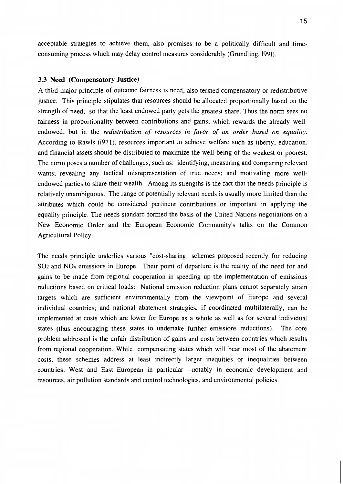acceptable strategies to achieve them, also promises to be a politically difficult and timeconsuming process which may delay control measures considerably (Gründling, 1991).

#### 3.3 Need (Compensatory Justice)

A third major principle of outcome fairness is need, also termed compensatory or redistributive justice. This principle stipulates that resources should be allocated proportionally based on the strength of need, so that the least endowed party gets the greatest share. Thus the norm sees no fairness in proportionality between contributions and gains, which rewards the already wellendowed, but in the redistribution of resources in favor of an order based on equality. According to Rawls (1971), resources important to achieve welfare such as liberty, education, and financial assets should be distributed to maximize the well-being of the weakest or poorest. The norm poses a number of challenges, such as: identifying, measuring and comparing relevant wants; revealing any tactical misrepresentation of true needs; and motivating more wellendowed parties to share their wealth. Among its strengths is the fact that the needs principle is relatively unambiguous. The range of potentially relevant needs is usually more limited than the attributes which could be considered pertinent contributions or important in applying the equality principle. The needs standard formed the basis of the United Nations negotiations on a New Economic Order and the European Economic Community's talks on the Common Agricultural Policy.

The needs principle underlies various "cost-sharing" schemes proposed recently for reducing SO<sub>2</sub> and NO<sub>x</sub> emissions in Europe. Their point of departure is the reality of the need for and gains to be made from regional cooperation in speeding up the implementation of emissions reductions based on critical loads: National emission reduction plans cannot separately attain targets which are sufficient environmentally from the viewpoint of Europe and several individual countries; and national abatement strategies, if coordinated multilaterally, can be implemented at costs which are lower for Europe as a whole as well as for several individual states (thus encouraging these states to undertake further emissions reductions). The core problem addressed is the unfair distribution of gains and costs between countries which results from regional cooperation. While compensating states which will bear most of the abatement costs, these schemes address at least indirectly larger inequities or inequalities between countries, West and East European in particular --notably in economic development and resources, air pollution standards and control technologies, and environmental policies.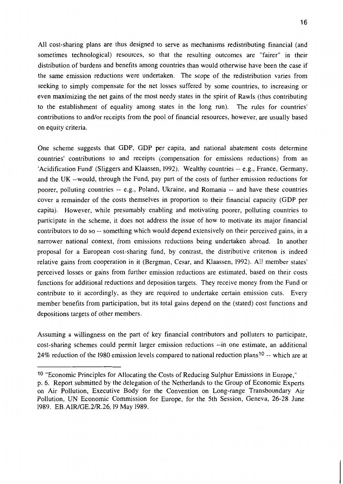All cost-sharing plans are thus designed to serve as mechanisms redistributing financial (and sometimes technological) resources, so that the resulting outcomes are "fairer" in their distribution of burdens and benefits among countries than would otherwise have been the case if the same emission reductions were undertaken. The scope of the redistribution varies from seeking to simply compensate for the net losses suffered by some countries, to increasing or even maximizing the net gains of the most needy states in the spirit of Rawls (thus contributing to the establishment of equality among states in the long run). The rules for countries' contributions to and/or receipts from the pool of financial resources, however, are usually based on equity criteria.

One scheme suggests that GDP, GDP per capita, and national abatement costs determine countries' contributions to and receipts (compensation for emissions reductions) from an 'Acidification Fund' (Sliggers and Klaassen, 1992). Wealthy countries -- e.g., France, Germany, and the UK --would, through the Fund, pay part of the costs of further emission reductions for poorer, polluting countries -- e.g., Poland, Ukraine, and Romania -- and have these countries cover a remainder of the costs themselves in proportion to their financial capacity (GDP per capita). However, while presumably enabling and motivating poorer, polluting countries to participate in the scheme, it does not address the issue of how to motivate its major financial contributors to do so -- something which would depend extensively on their perceived gains, in a narrower national context, from emissions reductions being undertaken abroad. In another proposal for a European cost-sharing fund, by contrast, the distributive criterion is indeed relative gains from cooperation in it (Bergman, Cesar, and Klaassen, 1992). All member states' perceived losses or gains from further emission reductions are estimated, based on their costs functions for additional reductions and deposition targets. They receive money from the Fund or contribute to it accordingly, as they are required to undertake certain emission cuts. Every member benefits from participation, but its total gains depend on the (stated) cost functions and depositions targets of other members.

Assuming a willingness on the part of key financial contributors and polluters to participate. cost-sharing schemes could permit larger emission reductions --in one estimate, an additional 24% reduction of the 1980 emission levels compared to national reduction plans<sup>10</sup> -- which are at

<sup>&</sup>lt;sup>10</sup> "Economic Principles for Allocating the Costs of Reducing Sulphur Emissions in Europe,"

p. 6. Report submitted by the delegation of the Netherlands to the Group of Economic Experts on Air Pollution, Executive Body for the Convention on Long-range Transboundary Air Pollution, UN Economic Commission for Europe, for the 5th Session, Geneva, 26-28 June 1989. EB.AIR/GE.2/R.26, 19 May 1989.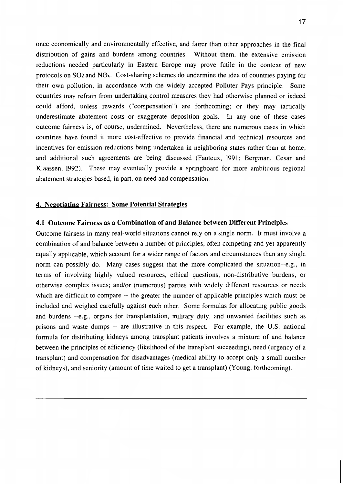once economically and environmentally effective, and fairer than other approaches in the final distribution of gains and burdens among countries. Without them, the extensive emission reductions needed particularly in Eastern Europe may prove futile in the context of new protocols on SO<sub>2</sub> and NO<sub>x</sub>. Cost-sharing schemes do undermine the idea of countries paying for their own pollution, in accordance with the widely accepted Polluter Pays principle. Some countries may refrain from undertaking control measures they had otherwise planned or indeed could afford, unless rewards ("compensation") are forthcoming; or they may tactically underestimate abatement costs or exaggerate deposition goals. In any one of these cases outcome fairness is, of course, undermined. Nevertheless, there are numerous cases in which countries have found it more cost-effective to provide financial and technical resources and incentives for emission reductions being undertaken in neighboring states rather than at home, and additional such agreements are being discussed (Fauteux, 1991; Bergman, Cesar and Klaassen, 1992). These may eventually provide a springboard for more ambituous regional abatement strategies based, in part, on need and compensation.

#### 4. Negotiating Fairness: Some Potential Strategies

#### 4.1 Outcome Fairness as a Combination of and Balance between Different Principles

Outcome fairness in many real-world situations cannot rely on a single norm. It must involve a combination of and balance between a number of principles, often competing and yet apparently equally applicable, which account for a wider range of factors and circumstances than any single norm can possibly do. Many cases suggest that the more complicated the situation-e.g., in terms of involving highly valued resources, ethical questions, non-distributive burdens, or otherwise complex issues; and/or (numerous) parties with widely different resources or needs which are difficult to compare -- the greater the number of applicable principles which must be included and weighed carefully against each other. Some formulas for allocating public goods and burdens --e.g., organs for transplantation, military duty, and unwanted facilities such as prisons and waste dumps -- are illustrative in this respect. For example, the U.S. national formula for distributing kidneys among transplant patients involves a mixture of and balance between the principles of efficiency (likelihood of the transplant succeeding), need (urgency of a transplant) and compensation for disadvantages (medical ability to accept only a small number of kidneys), and seniority (amount of time waited to get a transplant) (Young, forthcoming).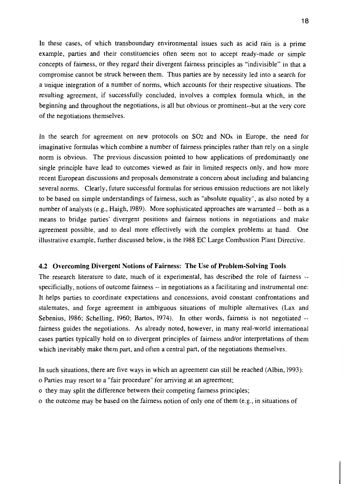In these cases, of which transboundary environmental issues such as acid rain is a prime example, parties and their constituencies often seem not to accept ready-made or simple concepts of fairness, or they regard their divergent fairness principles as "indivisible" in that a compromise cannot be struck between them. Thus parties are by necessity led into a search for a unique integration of a number of norms, which accounts for their respective situations. The resulting agreement, if successfully concluded, involves a complex formula which, in the beginning and throughout the negotiations, is all but obvious or prominent--but at the very core of the negotiations themselves.

In the search for agreement on new protocols on  $SO<sub>2</sub>$  and  $NO<sub>x</sub>$  in Europe, the need for imaginative formulas which combine a number of fairness principles rather than rely on a single norm is obvious. The previous discussion pointed to how applications of predominantly one single principle have lead to outcomes viewed as fair in limited respects only, and how more recent European discussions and proposals demonstrate a concern about including and balancing several norms. Clearly, future successful formulas for serious emission reductions are not likely to be based on simple understandings of fairness, such as "absolute equality", as also noted by a number of analysts (e.g., Haigh, 1989). More sophisticated approaches are warranted -- both as a means to bridge parties' divergent positions and fairness notions in negotiations and make agreement possible, and to deal more effectively with the complex problems at hand. One illustrative example, further discussed below, is the 1988 EC Large Combustion Plant Directive.

#### 4.2 Overcoming Divergent Notions of Fairness: The Use of Problem-Solving Tools

The research literature to date, much of it experimental, has described the role of fairness -specificially, notions of outcome fairness -- in negotiations as a facilitating and instrumental one: It helps parties to coordinate expectations and concessions, avoid constant confrontations and stalemates, and forge agreement in ambiguous situations of multiple alternatives (Lax and Sebenius, 1986; Schelling, 1960; Bartos, 1974). In other words, fairness is not negotiated -fairness guides the negotiations. As already noted, however, in many real-world international cases parties typically hold on to divergent principles of fairness and/or interpretations of them which inevitably make them part, and often a central part, of the negotiations themselves.

In such situations, there are five ways in which an agreement can still be reached (Albin, 1993):

- o Parties may resort to a "fair procedure" for arriving at an agreement;
- o they may split the difference between their competing fairness principles;
- o the outcome may be based on the fairness notion of only one of them (e.g., in situations of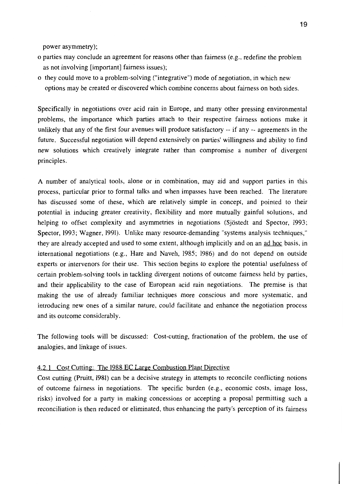power asymmetry);

- o parties may conclude an agreement for reasons other than fairness (e.g., redefine the problem as not involving [important] fairness issues);
- o they could move to a problem-solving ("integrative") mode of negotiation, in which new options may be created or discovered which combine concerns about fairness on both sides.

Specifically in negotiations over acid rain in Europe, and many other pressing environmental problems, the importance which parties attach to their respective fairness notions make it unlikely that any of the first four avenues will produce satisfactory -- if any -- agreements in the future. Successful negotiation will depend extensively on parties' willingness and ability to find new solutions which creatively integrate rather than compromise a number of divergent principles.

A number of analytical tools, alone or in combination, may aid and support parties in this process, particular prior to formal talks and when impasses have been reached. The literature has discussed some of these, which are relatively simple in concept, and pointed to their potential in inducing greater creativity, flexibility and more mutually gainful solutions, and helping to offset complexity and asymmetries in negotiations (Sjöstedt and Spector, 1993; Spector, 1993; Wagner, 1991). Unlike many resource-demanding "systems analysis techniques." they are already accepted and used to some extent, although implicitly and on an ad hoc basis, in international negotiations (e.g., Hare and Naveh, 1985; 1986) and do not depend on outside experts or intervenors for their use. This section begins to explore the potential usefulness of certain problem-solving tools in tackling divergent notions of outcome fairness held by parties, and their applicability to the case of European acid rain negotiations. The premise is that making the use of already familiar techniques more conscious and more systematic, and introducing new ones of a similar nature, could facilitate and enhance the negotiation process and its outcome considerably.

The following tools will be discussed: Cost-cutting, fractionation of the problem, the use of analogies, and linkage of issues.

#### 4.2.1 Cost Cutting: The 1988 EC Large Combustion Plant Directive

Cost cutting (Pruitt, 1981) can be a decisive strategy in attempts to reconcile conflicting notions of outcome fairness in negotiations. The specific burden (e.g., economic costs, image loss, risks) involved for a party in making concessions or accepting a proposal permitting such a reconciliation is then reduced or eliminated, thus enhancing the party's perception of its fairness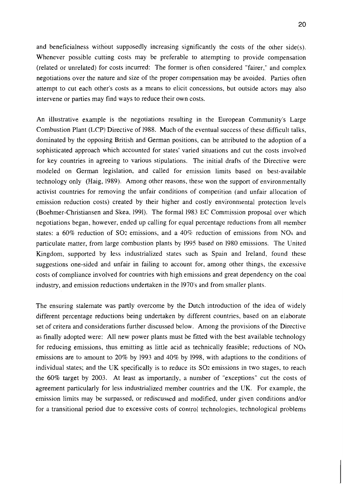and beneficialness without supposedly increasing significantly the costs of the other side(s). Whenever possible cutting costs may be preferable to attempting to provide compensation (related or unrelated) for costs incurred: The former is often considered "fairer," and complex negotiations over the nature and size of the proper compensation may be avoided. Parties often attempt to cut each other's costs as a means to elicit concessions, but outside actors may also intervene or parties may find ways to reduce their own costs.

An illustrative example is the negotiations resulting in the European Community's Large Combustion Plant (LCP) Directive of 1988. Much of the eventual success of these difficult talks, dominated by the opposing British and German positions, can be attributed to the adoption of a sophisticated approach which accounted for states' varied situations and cut the costs involved for key countries in agreeing to various stipulations. The initial drafts of the Directive were modeled on German legislation, and called for emission limits based on best-available technology only (Haig, 1989). Among other reasons, these won the support of environmentally activist countries for removing the unfair conditions of competition (and unfair allocation of emission reduction costs) created by their higher and costly environmental protection levels (Boehmer-Christiansen and Skea, 1991). The formal 1983 EC Commission proposal over which negotiations began, however, ended up calling for equal percentage reductions from all member states: a 60% reduction of SO<sub>2</sub> emissions, and a 40% reduction of emissions from NO<sub>x</sub> and particulate matter, from large combustion plants by 1995 based on 1980 emissions. The United Kingdom, supported by less industrialized states such as Spain and Ireland, found these suggestions one-sided and unfair in failing to account for, among other things, the excessive costs of compliance involved for countries with high emissions and great dependency on the coal industry, and emission reductions undertaken in the 1970's and from smaller plants.

The ensuring stalemate was partly overcome by the Dutch introduction of the idea of widely different percentage reductions being undertaken by different countries, based on an elaborate set of critera and considerations further discussed below. Among the provisions of the Directive as finally adopted were: All new power plants must be fitted with the best available technology for reducing emissions, thus emitting as little acid as technically feasible; reductions of  $NO<sub>x</sub>$ emissions are to amount to 20% by 1993 and 40% by 1998, with adaptions to the conditions of individual states; and the UK specifically is to reduce its SO2 emissions in two stages, to reach the 60% target by 2003. At least as importantly, a number of "exceptions" cut the costs of agreement particularly for less industrialized member countries and the UK. For example, the emission limits may be surpassed, or rediscussed and modified, under given conditions and/or for a transitional period due to excessive costs of control technologies, technological problems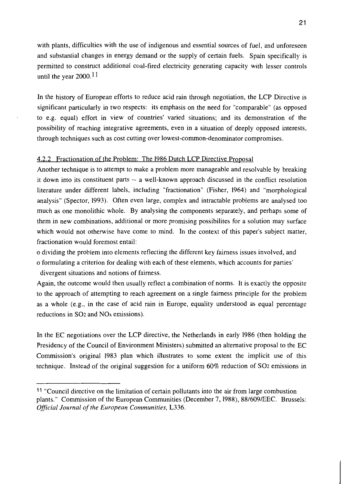with plants, difficulties with the use of indigenous and essential sources of fuel, and unforeseen and substantial changes in energy demand or the supply of certain fuels. Spain specifically is permitted to construct additional coal-fired electricity generating capacity with lesser controls until the year  $2000$ .<sup>11</sup>

In the history of European efforts to reduce acid rain through negotiation, the LCP Directive is significant particularly in two respects: its emphasis on the need for "comparable" (as opposed to e.g. equal) effort in view of countries' varied situations; and its demonstration of the possibility of reaching integrative agreements, even in a situation of deeply opposed interests, through techniques such as cost cutting over lowest-common-denominator compromises.

#### 4.2.2 Fractionation of the Problem: The 1986 Dutch LCP Directive Proposal

Another technique is to attempt to make a problem more manageable and resolvable by breaking it down into its constituent parts -- a well-known approach discussed in the conflict resolution literature under different labels, including "fractionation" (Fisher, 1964) and "morphological analysis" (Spector, 1993). Often even large, complex and intractable problems are analysed too much as one monolithic whole. By analysing the components separately, and perhaps some of them in new combinations, additional or more promising possibilities for a solution may surface which would not otherwise have come to mind. In the context of this paper's subject matter, fractionation would foremost entail:

o dividing the problem into elements reflecting the different key fairness issues involved, and o formulating a criterion for dealing with each of these elements, which accounts for parties' divergent situations and notions of fairness.

Again, the outcome would then usually reflect a combination of norms. It is exactly the opposite to the approach of attempting to reach agreement on a single fairness principle for the problem as a whole (e.g., in the case of acid rain in Europe, equality understood as equal percentage reductions in SO<sub>2</sub> and NO<sub>x</sub> emissions).

In the EC negotiations over the LCP directive, the Netherlands in early 1986 (then holding the Presidency of the Council of Environment Ministers) submitted an alternative proposal to the EC Commission's original 1983 plan which illustrates to some extent the implicit use of this technique. Instead of the original suggestion for a uniform 60% reduction of SO2 emissions in

<sup>&</sup>lt;sup>11</sup> "Council directive on the limitation of certain pollutants into the air from large combustion plants." Commission of the European Communities (December 7, 1988), 88/609/EEC. Brussels: Official Journal of the European Communities, L336.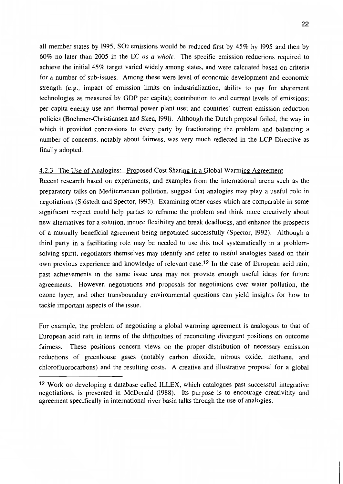all member states by 1995, SO<sub>2</sub> emissions would be reduced first by 45% by 1995 and then by  $60\%$  no later than 2005 in the EC as a whole. The specific emission reductions required to achieve the initial 45% target varied widely among states, and were calcuated based on criteria for a number of sub-issues. Among these were level of economic development and economic strength (e.g., impact of emission limits on industrialization, ability to pay for abatement technologies as measured by GDP per capita); contribution to and current levels of emissions; per capita energy use and thermal power plant use; and countries' current emission reduction policies (Boehmer-Christiansen and Skea, 1991). Although the Dutch proposal failed, the way in which it provided concessions to every party by fractionating the problem and balancing a number of concerns, notably about fairness, was very much reflected in the LCP Directive as finally adopted.

#### 4.2.3 The Use of Analogies: Proposed Cost Sharing in a Global Warming Agreement

Recent research based on experiments, and examples from the international arena such as the preparatory talks on Mediterranean pollution, suggest that analogies may play a useful role in negotiations (Siöstedt and Spector, 1993). Examining other cases which are comparable in some significant respect could help parties to reframe the problem and think more creatively about new alternatives for a solution, induce flexibility and break deadlocks, and enhance the prospects of a mutually beneficial agreement being negotiated successfully (Spector, 1992). Although a third party in a facilitating role may be needed to use this tool systematically in a problemsolving spirit, negotiators themselves may identify and refer to useful analogies based on their own previous experience and knowledge of relevant case.<sup>12</sup> In the case of European acid rain, past achievements in the same issue area may not provide enough useful ideas for future agreements. However, negotiations and proposals for negotiations over water pollution, the ozone layer, and other transboundary environmental questions can yield insights for how to tackle important aspects of the issue.

For example, the problem of negotiating a global warming agreement is analogous to that of European acid rain in terms of the difficulties of reconciling divergent positions on outcome fairness. These positions concern views on the proper distribution of necessary emission reductions of greenhouse gases (notably carbon dioxide, nitrous oxide, methane, and chlorofluorocarbons) and the resulting costs. A creative and illustrative proposal for a global

<sup>&</sup>lt;sup>12</sup> Work on developing a database called ILLEX, which catalogues past successful integrative negotiations, is presented in McDonald (1988). Its purpose is to encourage creativitity and agreement specifically in international river basin talks through the use of analogies.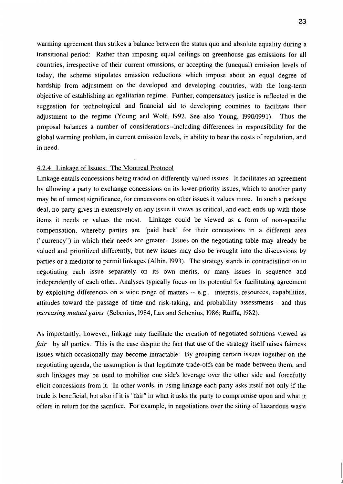warming agreement thus strikes a balance between the status quo and absolute equality during a transitional period: Rather than imposing equal ceilings on greenhouse gas emissions for all countries, irrespective of their current emissions, or accepting the (unequal) emission levels of today, the scheme stipulates emission reductions which impose about an equal degree of hardship from adjustment on the developed and developing countries, with the long-term objective of establishing an egalitarian regime. Further, compensatory justice is reflected in the suggestion for technological and financial aid to developing countries to facilitate their adjustment to the regime (Young and Wolf, 1992. See also Young, 1990/1991). Thus the proposal balances a number of considerations--including differences in responsibility for the global warming problem, in current emission levels, in ability to bear the costs of regulation, and in need.

#### 4.2.4 Linkage of Issues: The Montreal Protocol

Linkage entails concessions being traded on differently valued issues. It facilitates an agreement by allowing a party to exchange concessions on its lower-priority issues, which to another party may be of utmost significance, for concessions on other issues it values more. In such a package deal, no party gives in extensively on any issue it views as critical, and each ends up with those items it needs or values the most. Linkage could be viewed as a form of non-specific compensation, whereby parties are "paid back" for their concessions in a different area ("currency") in which their needs are greater. Issues on the negotiating table may already be valued and prioritized differently, but new issues may also be brought into the discussions by parties or a mediator to permit linkages (Albin, 1993). The strategy stands in contradistinction to negotiating each issue separately on its own merits, or many issues in sequence and independently of each other. Analyses typically focus on its potential for facilitating agreement by exploiting differences on a wide range of matters -- e.g., interests, resources, capabilities, attitudes toward the passage of time and risk-taking, and probability assessments-- and thus increasing mutual gains (Sebenius, 1984; Lax and Sebenius, 1986; Raiffa, 1982).

As importantly, however, linkage may facilitate the creation of negotiated solutions viewed as fair by all parties. This is the case despite the fact that use of the strategy itself raises fairness issues which occasionally may become intractable: By grouping certain issues together on the negotiating agenda, the assumption is that legitimate trade-offs can be made between them, and such linkages may be used to mobilize one side's leverage over the other side and forcefully elicit concessions from it. In other words, in using linkage each party asks itself not only if the trade is beneficial, but also if it is "fair" in what it asks the party to compromise upon and what it offers in return for the sacrifice. For example, in negotiations over the siting of hazardous waste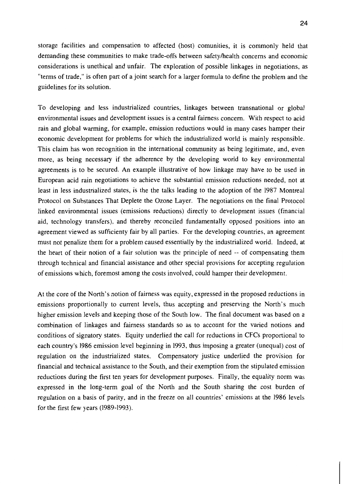storage facilities and compensation to affected (host) comunities, it is commonly held that demanding these communities to make trade-offs between safety/health concerns and economic considerations is unethical and unfair. The exploration of possible linkages in negotiations, as "terms of trade," is often part of a joint search for a larger formula to define the problem and the guidelines for its solution.

To developing and less industrialized countries, linkages between transnational or global environmental issues and development issues is a central fairness concern. With respect to acid rain and global warming, for example, emission reductions would in many cases hamper their economic development for problems for which the industrialized world is mainly responsible. This claim has won recognition in the international community as being legitimate, and, even more, as being necessary if the adherence by the developing world to key environmental agreements is to be secured. An example illustrative of how linkage may have to be used in European acid rain negotiations to achieve the substantial emission reductions needed, not at least in less industrialized states, is the the talks leading to the adoption of the 1987 Montreal Protocol on Substances That Deplete the Ozone Layer. The negotiations on the final Protocol linked environmental issues (emissions reductions) directly to development issues (financial aid, technology transfers), and thereby reconciled fundamentally opposed positions into an agreement viewed as sufficienty fair by all parties. For the developing countries, an agreement must not penalize them for a problem caused essentially by the industrialized world. Indeed, at the heart of their notion of a fair solution was the principle of need -- of compensating them through technical and financial assistance and other special provisions for accepting regulation of emissions which, foremost among the costs involved, could hamper their development.

At the core of the North's notion of fairness was equity, expressed in the proposed reductions in emissions proportionally to current levels, thus accepting and preserving the North's much higher emission levels and keeping those of the South low. The final document was based on a combination of linkages and fairness standards so as to account for the varied notions and conditions of signatory states. Equity underlied the call for reductions in CFCs proportional to each country's 1986 emission level beginning in 1993, thus imposing a greater (unequal) cost of regulation on the industrialized states. Compensatory justice underlied the provision for financial and technical assistance to the South, and their exemption from the stipulated emission reductions during the first ten years for development purposes. Finally, the equality norm was expressed in the long-term goal of the North and the South sharing the cost burden of regulation on a basis of parity, and in the freeze on all countries' emissions at the 1986 levels for the first few years (1989-1993).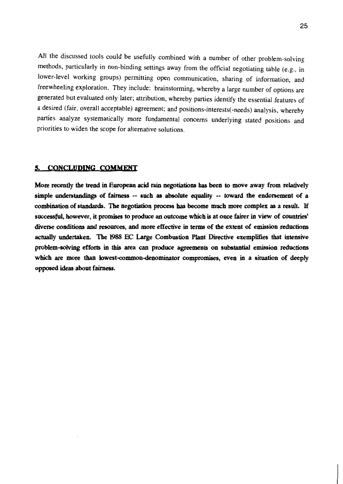All the discussed tools could be usefully combined with a number of other problem-solving methods, particularly in non-binding settings away from the official negotiating table (e.g., in lower-level working groups) permitting open communication, sharing of information, and freewheeling exploration. They include: brainstorming, whereby a large number of options are generated but evaluated only later; attribution, whereby parties identify the essential features of a desired (fair, overall acceptable) agreement; and positions-interests(-needs) analysis, whereby parties analyze systematically more fundamental concerns underlying stated positions and priorities to widen the scope for alternative solutions.

#### 5. CONCLUDING COMMENT

More recently the trend in European acid rain negotiations has been to move away from relatively simple understandings of fairness -- such as absolute equality -- toward the endorsement of a combination of standards. The negotiation process has become much more complex as a result. If successful, however, it promises to produce an outcome which is at once fairer in view of countries' diverse conditions and resources, and more effective in terms of the extent of emission reductions actually undertaken. The 1988 EC Large Combustion Plant Directive exemplifies that intensive problem-solving efforts in this area can produce agreements on substantial emission reductions which are more than lowest-common-denominator compromises, even in a situation of deeply opposed ideas about fairness.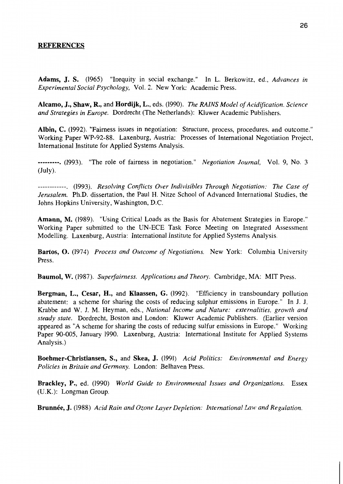#### **REFERENCES**

Adams, J. S. (1965) "Inequity in social exchange." In L. Berkowitz, ed., Advances in Experimental Social Psychology, Vol. 2. New York: Academic Press.

Alcamo, J., Shaw, R., and Hordijk, L., eds. (1990). The RAINS Model of Acidification. Science and Strategies in Europe. Dordrecht (The Netherlands): Kluwer Academic Publishers.

Albin, C. (1992). "Fairness issues in negotiation: Structure, process, procedures, and outcome." Working Paper WP-92-88. Laxenburg, Austria: Processes of International Negotiation Project, International Institute for Applied Systems Analysis.

---------, (1993). "The role of fairness in negotiation." Negotiation Journal, Vol. 9, No. 3  $(\text{July}).$ 

------------. (1993). Resolving Conflicts Over Indivisibles Through Negotiation: The Case of Jerusalem. Ph.D. dissertation, the Paul H. Nitze School of Advanced International Studies, the Johns Hopkins University, Washington, D.C.

Amann, M. (1989). "Using Critical Loads as the Basis for Abatement Strategies in Europe." Working Paper submitted to the UN-ECE Task Force Meeting on Integrated Assessment Modelling. Laxenburg, Austria: International Institute for Applied Systems Analysis.

Bartos, O. (1974) Process and Outcome of Negotiations. New York: Columbia University Press.

Baumol, W. (1987). Superfairness. Applications and Theory. Cambridge, MA: MIT Press.

Bergman, L., Cesar, H., and Klaassen, G. (1992). "Efficiency in transboundary pollution abatement: a scheme for sharing the costs of reducing sulphur emissions in Europe." In J. J. Krabbe and W. J. M. Heyman, eds., National Income and Nature: externalities, growth and steady state. Dordrecht, Boston and London: Kluwer Academic Publishers. (Earlier version appeared as "A scheme for sharing the costs of reducing sulfur emissions in Europe." Working Paper 90-005, January 1990. Laxenburg, Austria: International Institute for Applied Systems Analysis.)

Boehmer-Christiansen, S., and Skea, J. (1991) Acid Politics: Environmental and Energy Policies in Britain and Germany. London: Belhaven Press.

Brackley, P., ed. (1990) World Guide to Environmental Issues and Organizations. Essex (U.K.): Longman Group.

Brunnée, J. (1988) Acid Rain and Ozone Layer Depletion: International Law and Regulation.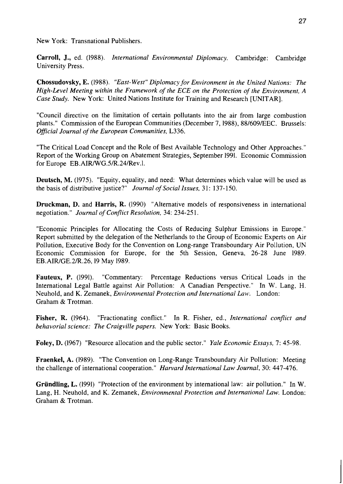New York: Transnational Publishers.

Carroll, J., ed. (1988). International Environmental Diplomacy. Cambridge: Cambridge University Press.

Chossudovsky, E. (1988). "East-West" Diplomacy for Environment in the United Nations: The High-Level Meeting within the Framework of the ECE on the Protection of the Environment. A Case Study. New York: United Nations Institute for Training and Research [UNITAR].

"Council directive on the limitation of certain pollutants into the air from large combustion plants." Commission of the European Communities (December 7, 1988), 88/609/EEC. Brussels: Official Journal of the European Communities, L336.

"The Critical Load Concept and the Role of Best Available Technology and Other Approaches." Report of the Working Group on Abatement Strategies, September 1991. Economic Commission for Europe EB.AIR/WG.5/R.24/Rev.l.

**Deutsch, M.** (1975). "Equity, equality, and need: What determines which value will be used as the basis of distributive justice?" Journal of Social Issues, 31: 137-150.

Druckman, D. and Harris, R. (1990) "Alternative models of responsiveness in international negotiation." Journal of Conflict Resolution, 34: 234-251.

"Economic Principles for Allocating the Costs of Reducing Sulphur Emissions in Europe." Report submitted by the delegation of the Netherlands to the Group of Economic Experts on Air Pollution. Executive Body for the Convention on Long-range Transboundary Air Pollution, UN Economic Commission for Europe, for the 5th Session, Geneva, 26-28 June 1989. EB.AIR/GE.2/R.26, 19 May 1989.

"Commentary: Percentage Reductions versus Critical Loads in the **Fauteux, P.** (1991). International Legal Battle against Air Pollution: A Canadian Perspective." In W. Lang. H. Neuhold, and K. Zemanek, Environmental Protection and International Law. London: Graham & Trotman.

Fisher, R. (1964). "Fractionating conflict." In R. Fisher, ed., International conflict and behavorial science: The Craigville papers. New York: Basic Books.

Foley, D. (1967) "Resource allocation and the public sector." Yale Economic Essays, 7: 45-98.

**Fraenkel, A.** (1989). "The Convention on Long-Range Transboundary Air Pollution: Meeting the challenge of international cooperation." Harvard International Law Journal, 30: 447-476.

Gründling, L. (1991) "Protection of the environment by international law: air pollution." In W. Lang, H. Neuhold, and K. Zemanek, *Environmental Protection and International Law*. London: Graham & Trotman.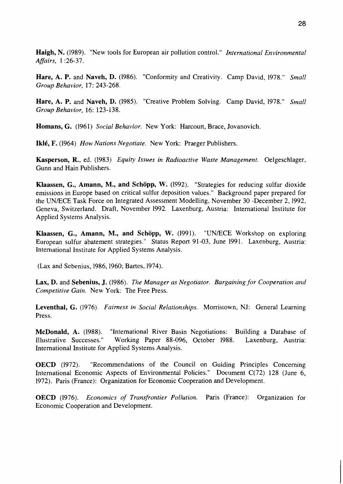Haigh, N. (1989). "New tools for European air pollution control." International Environmental Affairs, 1:26-37.

Hare, A. P. and Naveh, D. (1986). "Conformity and Creativity. Camp David, 1978." Small Group Behavior, 17: 243-268.

Hare, A. P. and Naveh, D. (1985). "Creative Problem Solving. Camp David, 1978." Small Group Behavior. 16: 123-138.

Homans, G. (1961) Social Behavior. New York: Harcourt, Brace, Jovanovich.

Iklé, F. (1964) How Nations Negotiate. New York: Praeger Publishers.

Kasperson, R., ed. (1983) Equity Issues in Radioactive Waste Management. Oelgeschlager, Gunn and Hain Publishers.

Klaassen, G., Amann, M., and Schöpp, W. (1992). "Strategies for reducing sulfur dioxide emissions in Europe based on critical sulfur deposition values." Background paper prepared for the UN/ECE Task Force on Integrated Assessment Modelling, November 30 -December 2, 1992, Geneva, Switzerland. Draft, November 1992. Laxenburg, Austria: International Institute for Applied Systems Analysis.

Klaassen, G., Amann, M., and Schöpp, W. (1991). "UN/ECE Workshop on exploring European sulfur abatement strategies." Status Report 91-03, June 1991. Laxenburg, Austria: International Institute for Applied Systems Analysis.

(Lax and Sebenius, 1986, 1960; Bartos, 1974).

Lax, D. and Sebenius, J. (1986). The Manager as Negotiator. Bargaining for Cooperation and Competitive Gain. New York: The Free Press.

Leventhal, G. (1976). Fairness in Social Relationships. Morristown, NJ: General Learning Press.

"International River Basin Negotiations: Building a Database of **McDonald, A.** (1988). Working Paper 88-096, October 1988. Laxenburg. Austria: Illustrative Successes." International Institute for Applied Systems Analysis.

"Recommendations of the Council on Guiding Principles Concerning **OECD** (1972). International Economic Aspects of Environmental Policies." Document C(72) 128 (June 6, 1972). Paris (France): Organization for Economic Cooperation and Development.

**OECD** (1976). *Economics of Transfrontier Pollution*. Paris (France): Organization for Economic Cooperation and Development.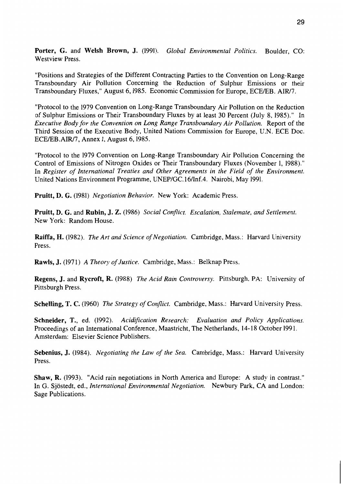Porter, G. and Welsh Brown, J. (1991). Global Environmental Politics. Boulder, CO: **Westview Press** 

"Positions and Strategies of the Different Contracting Parties to the Convention on Long-Range Transboundary Air Pollution Concerning the Reduction of Sulphur Emissions or their Transboundary Fluxes," August 6, 1985. Economic Commission for Europe, ECE/EB. AIR/7.

"Protocol to the 1979 Convention on Long-Range Transboundary Air Pollution on the Reduction of Sulphur Emissions or Their Transboundary Fluxes by at least 30 Percent (July 8, 1985)." In Executive Body for the Convention on Long Range Transboundary Air Pollution. Report of the Third Session of the Executive Body, United Nations Commission for Europe, U.N. ECE Doc. ECE/EB.AIR/7, Annex I, August 6, 1985.

"Protocol to the 1979 Convention on Long-Range Transboundary Air Pollution Concerning the Control of Emissions of Nitrogen Oxides or Their Transboundary Fluxes (November 1, 1988)." In Register of International Treaties and Other Agreements in the Field of the Environment. United Nations Environment Programme, UNEP/GC.16/Inf.4. Nairobi, May 1991.

Pruitt, D. G. (1981) Negotiation Behavior. New York: Academic Press.

Pruitt, D. G. and Rubin, J. Z. (1986) Social Conflict. Escalation, Stalemate, and Settlement. New York: Random House.

**Raiffa, H.** (1982). The Art and Science of Negotiation. Cambridge, Mass.: Harvard University Press.

Rawls, J. (1971) A Theory of Justice. Cambridge, Mass.: Belknap Press.

Regens, J. and Rycroft, R. (1988) The Acid Rain Controversy. Pittsburgh, PA: University of Pittsburgh Press.

Schelling, T. C. (1960) The Strategy of Conflict. Cambridge, Mass.: Harvard University Press.

Schneider, T., ed. (1992). Acidification Research: Evaluation and Policy Applications. Proceedings of an International Conference, Maastricht, The Netherlands, 14-18 October 1991. Amsterdam: Elsevier Science Publishers.

Sebenius, J. (1984). Negotiating the Law of the Sea. Cambridge, Mass.: Harvard University Press.

**Shaw, R.** (1993). "Acid rain negotiations in North America and Europe: A study in contrast." In G. Sjöstedt, ed., International Environmental Negotiation. Newbury Park, CA and London: Sage Publications.